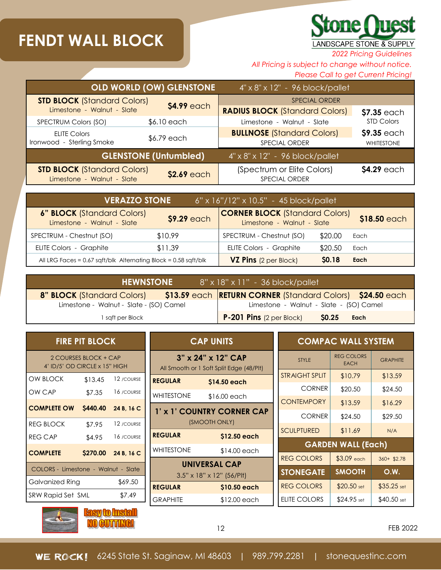## **FENDT WALL BLOCK**

## **Stone Quest** LANDSCAPE STONE & SUPPLY

*2022 Pricing Guidelines*

*All Pricing is subject to change without notice.*

*Please Call to get Current Pricing!*

|                                                                                | <b>OLD WORLD (OW) GLENSTONE</b> | 4" x 8" x 12" - 96 block/pallet                    |                   |
|--------------------------------------------------------------------------------|---------------------------------|----------------------------------------------------|-------------------|
| <b>STD BLOCK (Standard Colors)</b>                                             |                                 | <b>SPECIAL ORDER</b>                               |                   |
| Limestone - Walnut - Slate                                                     | \$4.99 each                     | <b>RADIUS BLOCK (Standard Colors)</b>              | \$7.35 each       |
| SPECTRUM Colors (SO)                                                           | \$6.10 each                     | Limestone - Walnut - Slate                         | <b>STD Colors</b> |
| <b>ELITE Colors</b>                                                            |                                 | <b>BULLNOSE</b> (Standard Colors)                  | \$9.35 each       |
| \$6.79 each<br>Ironwood - Sterling Smoke                                       |                                 | SPECIAL ORDER                                      | <b>WHITESTONE</b> |
| <b>GLENSTONE (Untumbled)</b><br>$4'' \times 8'' \times 12'' - 96$ block/pallet |                                 |                                                    |                   |
| <b>STD BLOCK (Standard Colors)</b><br>Limestone - Walnut - Slate               | \$2.69 each                     | (Spectrum or Elite Colors)<br><b>SPECIAL ORDER</b> | \$4.29 each       |

| <b>VERAZZO STONE</b><br>$6"$ x 16"/12" x 10.5" - 45 block/pallet                                                                                      |         |                                |              |              |
|-------------------------------------------------------------------------------------------------------------------------------------------------------|---------|--------------------------------|--------------|--------------|
| <b>6" BLOCK</b> (Standard Colors)<br><b>CORNER BLOCK (Standard Colors)</b><br>\$9.29 each<br>Limestone - Walnut - Slate<br>Limestone - Walnut - Slate |         |                                |              | \$18.50 each |
| SPECTRUM - Chestnut (SO)                                                                                                                              | \$10.99 | SPECTRUM - Chestnut (SO)       | \$20.00      | Each         |
| <b>ELITE Colors - Graphite</b>                                                                                                                        | \$11.39 | <b>ELITE Colors - Graphite</b> | \$20.50      | Each         |
| All LRG Faces = $0.67$ sqft/blk Alternating Block = $0.58$ sqft/blk                                                                                   |         | <b>VZ Pins</b> (2 per Block)   | <b>SO.18</b> | Each         |

| <b>HEWNSTONE</b><br>8" x 18" x 11" - 36 block/pallet                                           |                                              |  |  |  |
|------------------------------------------------------------------------------------------------|----------------------------------------------|--|--|--|
| \$13.59 each RETURN CORNER (Standard Colors) \$24.50 each<br><b>8" BLOCK</b> (Standard Colors) |                                              |  |  |  |
| Limestone - Walnut - Slate - (SO) Camel                                                        | Limestone - Walnut - Slate - (SO) Camel      |  |  |  |
| I saft per Block                                                                               | $P-201$ Pins (2 per Block)<br>\$0.25<br>Each |  |  |  |

| <b>FIRE PIT BLOCK</b>                                  |         |                     |  |  |
|--------------------------------------------------------|---------|---------------------|--|--|
| 2 COURSES BLOCK + CAP<br>4' ID/5' OD CIRCLE x 15" HIGH |         |                     |  |  |
| <b>OW BLOCK</b>                                        | \$13.45 | 12 / COURSE         |  |  |
| OW CAP                                                 | \$7.35  | 16 / COURSE         |  |  |
| <b>COMPLETE OW \$440.40 24 B, 16 C</b>                 |         |                     |  |  |
| REG BLOCK                                              | \$7.95  | 12 / COURSE         |  |  |
| <b>REG CAP</b>                                         |         | \$4.95 16 / COURSE  |  |  |
| <b>COMPLETE</b>                                        |         | \$270.00 24 B, 16 C |  |  |
| COLORS - Limestone - Walnut - Slate                    |         |                     |  |  |
| Galvanized Ring                                        |         | \$69.50             |  |  |
| SRW Rapid Set SML                                      |         | \$7.49              |  |  |

| <b>CAP UNITS</b>           |                                          |  |  |
|----------------------------|------------------------------------------|--|--|
|                            | 3" x 24" x 12" CAP                       |  |  |
|                            | All Smooth or 1 Soft Split Edge (48/PIt) |  |  |
| <b>REGULAR</b>             | \$14.50 each                             |  |  |
| <b>WHITESTONE</b>          | \$16.00 each                             |  |  |
| 1' x 1' COUNTRY CORNER CAP |                                          |  |  |
|                            | (SMOOTH ONLY)                            |  |  |
| <b>REGULAR</b>             | \$12.50 each                             |  |  |
| <b>WHITESTONE</b>          | \$14.00 each                             |  |  |
|                            | <b>UNIVERSAL CAP</b>                     |  |  |
|                            | $3.5" \times 18" \times 12"$ (56/Plt)    |  |  |
| <b>REGULAR</b>             | \$10.50 each                             |  |  |
| <b>GRAPHITE</b>            | \$12.00 each                             |  |  |

| <b>COMPAC WALL SYSTEM</b> |                                  |                 |  |  |
|---------------------------|----------------------------------|-----------------|--|--|
| <b>STYLE</b>              | <b>REG COLORS</b><br><b>EACH</b> | <b>GRAPHITE</b> |  |  |
| <b>STRAIGHT SPLIT</b>     | \$10.79                          | \$13.59         |  |  |
| <b>CORNER</b>             | \$20.50                          | \$24.50         |  |  |
| <b>CONTEMPORY</b>         | \$13.59                          | \$16.29         |  |  |
| <b>CORNER</b>             | \$24.50                          | \$29.50         |  |  |
| <b>SCULPTURED</b>         | \$11.69                          | N/A             |  |  |
| <b>GARDEN WALL (Each)</b> |                                  |                 |  |  |
| <b>REG COLORS</b>         | $$3.09$ each                     | 360+ \$2.78     |  |  |
| <b>STONEGATE</b>          | <b>SMOOTH</b>                    | O.W.            |  |  |
| <b>REG COLORS</b>         | $$20.50$ set                     | $$35.25$ set    |  |  |
| <b>ELITE COLORS</b>       | $$24.95$ set                     | $$40.50$ set    |  |  |